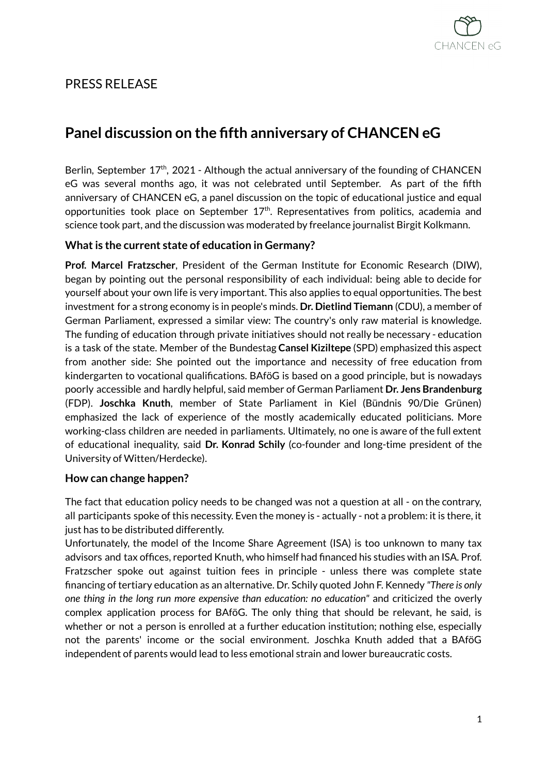

## PRESS RELEASE

# **Panel discussion on the fifth anniversary of CHANCEN eG**

Berlin, September 17<sup>th</sup>, 2021 - Although the actual anniversary of the founding of CHANCEN eG was several months ago, it was not celebrated until September. As part of the fifth anniversary of CHANCEN eG, a panel discussion on the topic of educational justice and equal opportunities took place on September 17<sup>th</sup>. Representatives from politics, academia and science took part, and the discussion was moderated by freelance journalist Birgit Kolkmann.

### **What is the current state of education in Germany?**

**Prof. Marcel Fratzscher**, President of the German Institute for Economic Research (DIW), began by pointing out the personal responsibility of each individual: being able to decide for yourself about your own life is very important. This also applies to equal opportunities. The best investment for a strong economy is in people's minds. **Dr. Dietlind Tiemann** (CDU), a member of German Parliament, expressed a similar view: The country's only raw material is knowledge. The funding of education through private initiatives should not really be necessary - education is a task of the state. Member of the Bundestag **Cansel Kiziltepe** (SPD) emphasized this aspect from another side: She pointed out the importance and necessity of free education from kindergarten to vocational qualifications. BAföG is based on a good principle, but is nowadays poorly accessible and hardly helpful, said member of German Parliament **Dr. Jens Brandenburg** (FDP). **Joschka Knuth**, member of State Parliament in Kiel (Bündnis 90/Die Grünen) emphasized the lack of experience of the mostly academically educated politicians. More working-class children are needed in parliaments. Ultimately, no one is aware of the full extent of educational inequality, said **Dr. Konrad Schily** (co-founder and long-time president of the University of Witten/Herdecke).

#### **How can change happen?**

The fact that education policy needs to be changed was not a question at all - on the contrary, all participants spoke of this necessity. Even the money is - actually - not a problem: it is there, it just has to be distributed differently.

Unfortunately, the model of the Income Share Agreement (ISA) is too unknown to many tax advisors and tax offices, reported Knuth, who himself had financed his studies with an ISA. Prof. Fratzscher spoke out against tuition fees in principle - unless there was complete state financing of tertiary education as an alternative. Dr. Schily quoted John F. Kennedy *"There is only one thing in the long run more expensive than education: no education"* and criticized the overly complex application process for BAföG. The only thing that should be relevant, he said, is whether or not a person is enrolled at a further education institution; nothing else, especially not the parents' income or the social environment. Joschka Knuth added that a BAföG independent of parents would lead to less emotional strain and lower bureaucratic costs.